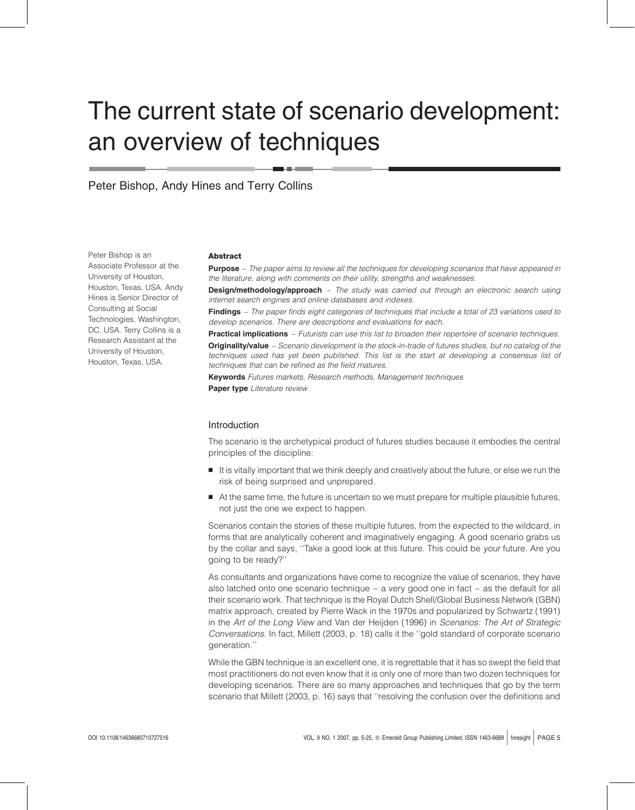# The current state of scenario development: an overview of techniques

Peter Bishop, Andy Hines and Terry Collins

Peter Bishop is an Associate Professor at the University of Houston, Houston, Texas, USA. Andy Hines is Senior Director of Consulting at Social Technologies, Washington, DC, USA. Terry Collins is a Research Assistant at the University of Houston, Houston, Texas, USA.

#### Abstract

**Purpose** – The paper aims to review all the techniques for developing scenarios that have appeared in the literature, along with comments on their utility, strengths and weaknesses.

**Design/methodology/approach** – The study was carried out through an electronic search using internet search engines and online databases and indexes.

Findings – The paper finds eight categories of techniques that include a total of 23 variations used to develop scenarios. There are descriptions and evaluations for each.

**Practical implications** – Futurists can use this list to broaden their repertoire of scenario techniques. Originality/value - Scenario development is the stock-in-trade of futures studies, but no catalog of the techniques used has yet been published. This list is the start at developing a consensus list of techniques that can be refined as the field matures.

Keywords Futures markets, Research methods, Management techniques Paper type Literature review

#### Introduction

The scenario is the archetypical product of futures studies because it embodies the central principles of the discipline:

- It is vitally important that we think deeply and creatively about the future, or else we run the risk of being surprised and unprepared.
- At the same time, the future is uncertain so we must prepare for multiple plausible futures, not just the one we expect to happen.

Scenarios contain the stories of these multiple futures, from the expected to the wildcard, in forms that are analytically coherent and imaginatively engaging. A good scenario grabs us by the collar and says, "Take a good look at this future. This could be *your* future. Are you going to be ready?''

As consultants and organizations have come to recognize the value of scenarios, they have also latched onto one scenario technique – a very good one in fact – as the default for all their scenario work. That technique is the Royal Dutch Shell/Global Business Network (GBN) matrix approach, created by Pierre Wack in the 1970s and popularized by Schwartz (1991) in the Art of the Long View and Van der Heijden (1996) in Scenarios: The Art of Strategic Conversations. In fact, Millett (2003, p. 18) calls it the ''gold standard of corporate scenario generation.''

While the GBN technique is an excellent one, it is regrettable that it has so swept the field that most practitioners do not even know that it is only one of more than two dozen techniques for developing scenarios. There are so many approaches and techniques that go by the term scenario that Millett (2003, p. 16) says that ''resolving the confusion over the definitions and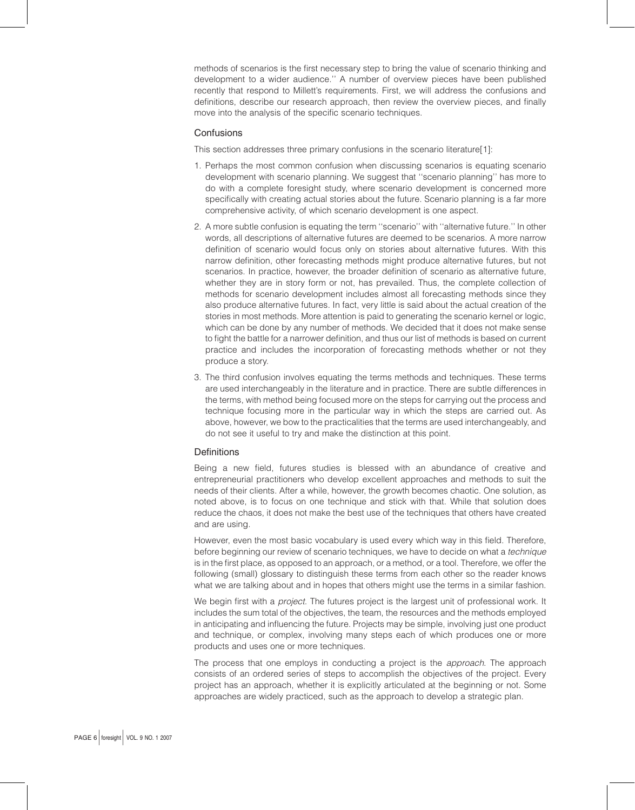methods of scenarios is the first necessary step to bring the value of scenario thinking and development to a wider audience.'' A number of overview pieces have been published recently that respond to Millett's requirements. First, we will address the confusions and definitions, describe our research approach, then review the overview pieces, and finally move into the analysis of the specific scenario techniques.

# **Confusions**

This section addresses three primary confusions in the scenario literature[1]:

- 1. Perhaps the most common confusion when discussing scenarios is equating scenario development with scenario planning. We suggest that ''scenario planning'' has more to do with a complete foresight study, where scenario development is concerned more specifically with creating actual stories about the future. Scenario planning is a far more comprehensive activity, of which scenario development is one aspect.
- 2. A more subtle confusion is equating the term ''scenario'' with ''alternative future.'' In other words, all descriptions of alternative futures are deemed to be scenarios. A more narrow definition of scenario would focus only on stories about alternative futures. With this narrow definition, other forecasting methods might produce alternative futures, but not scenarios. In practice, however, the broader definition of scenario as alternative future, whether they are in story form or not, has prevailed. Thus, the complete collection of methods for scenario development includes almost all forecasting methods since they also produce alternative futures. In fact, very little is said about the actual creation of the stories in most methods. More attention is paid to generating the scenario kernel or logic, which can be done by any number of methods. We decided that it does not make sense to fight the battle for a narrower definition, and thus our list of methods is based on current practice and includes the incorporation of forecasting methods whether or not they produce a story.
- 3. The third confusion involves equating the terms methods and techniques. These terms are used interchangeably in the literature and in practice. There are subtle differences in the terms, with method being focused more on the steps for carrying out the process and technique focusing more in the particular way in which the steps are carried out. As above, however, we bow to the practicalities that the terms are used interchangeably, and do not see it useful to try and make the distinction at this point.

#### **Definitions**

Being a new field, futures studies is blessed with an abundance of creative and entrepreneurial practitioners who develop excellent approaches and methods to suit the needs of their clients. After a while, however, the growth becomes chaotic. One solution, as noted above, is to focus on one technique and stick with that. While that solution does reduce the chaos, it does not make the best use of the techniques that others have created and are using.

However, even the most basic vocabulary is used every which way in this field. Therefore, before beginning our review of scenario techniques, we have to decide on what a technique is in the first place, as opposed to an approach, or a method, or a tool. Therefore, we offer the following (small) glossary to distinguish these terms from each other so the reader knows what we are talking about and in hopes that others might use the terms in a similar fashion.

We begin first with a *project*. The futures project is the largest unit of professional work. It includes the sum total of the objectives, the team, the resources and the methods employed in anticipating and influencing the future. Projects may be simple, involving just one product and technique, or complex, involving many steps each of which produces one or more products and uses one or more techniques.

The process that one employs in conducting a project is the *approach*. The approach consists of an ordered series of steps to accomplish the objectives of the project. Every project has an approach, whether it is explicitly articulated at the beginning or not. Some approaches are widely practiced, such as the approach to develop a strategic plan.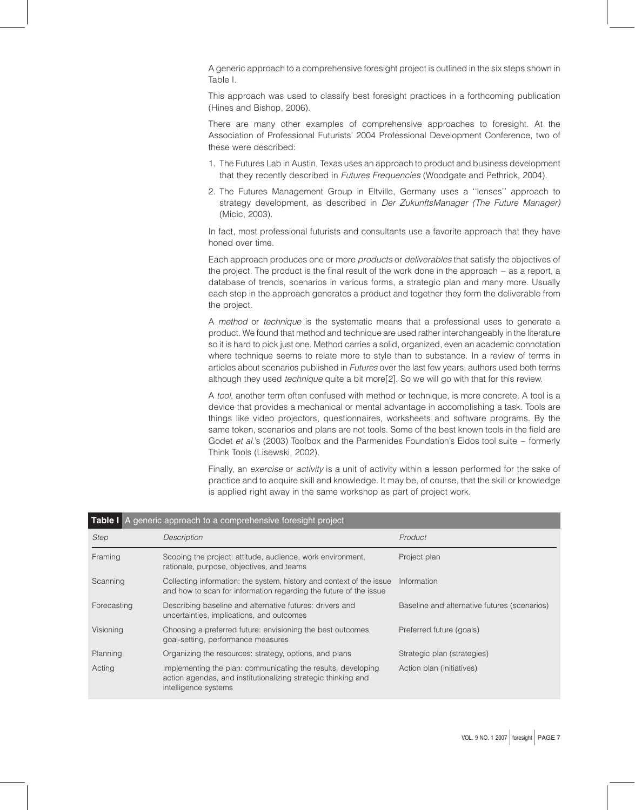A generic approach to a comprehensive foresight project is outlined in the six steps shown in Table I.

This approach was used to classify best foresight practices in a forthcoming publication (Hines and Bishop, 2006).

There are many other examples of comprehensive approaches to foresight. At the Association of Professional Futurists' 2004 Professional Development Conference, two of these were described:

- 1. The Futures Lab in Austin, Texas uses an approach to product and business development that they recently described in Futures Frequencies (Woodgate and Pethrick, 2004).
- 2. The Futures Management Group in Eltville, Germany uses a ''lenses'' approach to strategy development, as described in *Der ZukunftsManager (The Future Manager)* (Micic, 2003).

In fact, most professional futurists and consultants use a favorite approach that they have honed over time.

Each approach produces one or more products or deliverables that satisfy the objectives of the project. The product is the final result of the work done in the approach – as a report, a database of trends, scenarios in various forms, a strategic plan and many more. Usually each step in the approach generates a product and together they form the deliverable from the project.

A method or technique is the systematic means that a professional uses to generate a product. We found that method and technique are used rather interchangeably in the literature so it is hard to pick just one. Method carries a solid, organized, even an academic connotation where technique seems to relate more to style than to substance. In a review of terms in articles about scenarios published in Futures over the last few years, authors used both terms although they used technique quite a bit more[2]. So we will go with that for this review.

A tool, another term often confused with method or technique, is more concrete. A tool is a device that provides a mechanical or mental advantage in accomplishing a task. Tools are things like video projectors, questionnaires, worksheets and software programs. By the same token, scenarios and plans are not tools. Some of the best known tools in the field are Godet et al.'s (2003) Toolbox and the Parmenides Foundation's Eidos tool suite – formerly Think Tools (Lisewski, 2002).

Finally, an exercise or activity is a unit of activity within a lesson performed for the sake of practice and to acquire skill and knowledge. It may be, of course, that the skill or knowledge is applied right away in the same workshop as part of project work.

| <b>Table I</b> A generic approach to a comprehensive foresight project |                                                                                                                                                       |                                              |  |  |
|------------------------------------------------------------------------|-------------------------------------------------------------------------------------------------------------------------------------------------------|----------------------------------------------|--|--|
| Step                                                                   | Description                                                                                                                                           | Product                                      |  |  |
| Framing                                                                | Scoping the project: attitude, audience, work environment,<br>rationale, purpose, objectives, and teams                                               | Project plan                                 |  |  |
| Scanning                                                               | Collecting information: the system, history and context of the issue<br>and how to scan for information regarding the future of the issue             | Information                                  |  |  |
| Forecasting                                                            | Describing baseline and alternative futures: drivers and<br>uncertainties, implications, and outcomes                                                 | Baseline and alternative futures (scenarios) |  |  |
| Visioning                                                              | Choosing a preferred future: envisioning the best outcomes,<br>goal-setting, performance measures                                                     | Preferred future (goals)                     |  |  |
| Planning                                                               | Organizing the resources: strategy, options, and plans                                                                                                | Strategic plan (strategies)                  |  |  |
| Acting                                                                 | Implementing the plan: communicating the results, developing<br>action agendas, and institutionalizing strategic thinking and<br>intelligence systems | Action plan (initiatives)                    |  |  |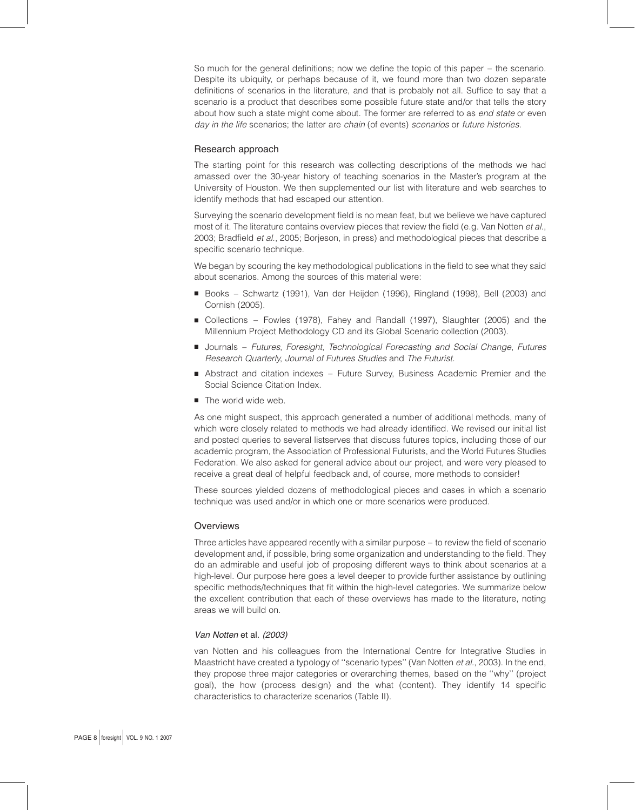So much for the general definitions; now we define the topic of this paper – the scenario. Despite its ubiquity, or perhaps because of it, we found more than two dozen separate definitions of scenarios in the literature, and that is probably not all. Suffice to say that a scenario is a product that describes some possible future state and/or that tells the story about how such a state might come about. The former are referred to as end state or even day in the life scenarios; the latter are chain (of events) scenarios or future histories.

# Research approach

The starting point for this research was collecting descriptions of the methods we had amassed over the 30-year history of teaching scenarios in the Master's program at the University of Houston. We then supplemented our list with literature and web searches to identify methods that had escaped our attention.

Surveying the scenario development field is no mean feat, but we believe we have captured most of it. The literature contains overview pieces that review the field (e.g. Van Notten et al., 2003; Bradfield et al., 2005; Borjeson, in press) and methodological pieces that describe a specific scenario technique.

We began by scouring the key methodological publications in the field to see what they said about scenarios. Among the sources of this material were:

- Books Schwartz (1991), Van der Heijden (1996), Ringland (1998), Bell (2003) and Cornish (2005).
- Collections Fowles (1978), Fahey and Randall (1997), Slaughter (2005) and the Millennium Project Methodology CD and its Global Scenario collection (2003).
- **B** Journals Futures, Foresight, Technological Forecasting and Social Change, Futures Research Quarterly, Journal of Futures Studies and The Futurist.
- <sup>B</sup> Abstract and citation indexes Future Survey, Business Academic Premier and the Social Science Citation Index.
- $\blacksquare$  The world wide web.

As one might suspect, this approach generated a number of additional methods, many of which were closely related to methods we had already identified. We revised our initial list and posted queries to several listserves that discuss futures topics, including those of our academic program, the Association of Professional Futurists, and the World Futures Studies Federation. We also asked for general advice about our project, and were very pleased to receive a great deal of helpful feedback and, of course, more methods to consider!

These sources yielded dozens of methodological pieces and cases in which a scenario technique was used and/or in which one or more scenarios were produced.

#### **Overviews**

Three articles have appeared recently with a similar purpose – to review the field of scenario development and, if possible, bring some organization and understanding to the field. They do an admirable and useful job of proposing different ways to think about scenarios at a high-level. Our purpose here goes a level deeper to provide further assistance by outlining specific methods/techniques that fit within the high-level categories. We summarize below the excellent contribution that each of these overviews has made to the literature, noting areas we will build on.

#### Van Notten et al. (2003)

van Notten and his colleagues from the International Centre for Integrative Studies in Maastricht have created a typology of "scenario types" (Van Notten et al., 2003). In the end, they propose three major categories or overarching themes, based on the ''why'' (project goal), the how (process design) and the what (content). They identify 14 specific characteristics to characterize scenarios (Table II).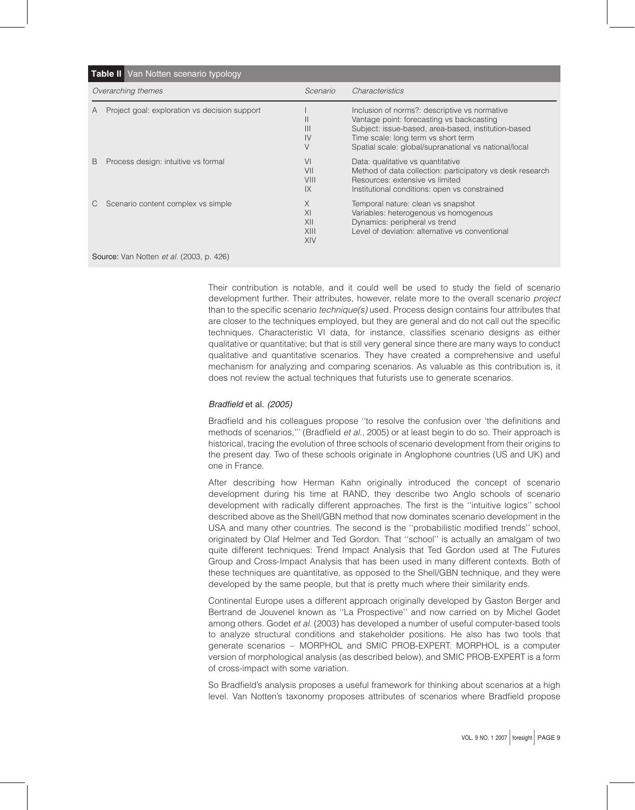| Table II Van Notten scenario typology                  |                                               |                                     |                                                                                                                                                                                                                                                   |  |
|--------------------------------------------------------|-----------------------------------------------|-------------------------------------|---------------------------------------------------------------------------------------------------------------------------------------------------------------------------------------------------------------------------------------------------|--|
| Overarching themes                                     |                                               | Scenario                            | Characteristics                                                                                                                                                                                                                                   |  |
| A                                                      | Project goal: exploration vs decision support | Ш<br>$\mathsf{III}$<br>IV<br>$\vee$ | Inclusion of norms?: descriptive vs normative<br>Vantage point: forecasting vs backcasting<br>Subject: issue-based, area-based, institution-based<br>Time scale: long term vs short term<br>Spatial scale: global/supranational vs national/local |  |
| B                                                      | Process design: intuitive vs formal           | VI<br>VII<br>VIII<br>IX             | Data: qualitative vs quantitative<br>Method of data collection: participatory vs desk research<br>Resources: extensive vs limited<br>Institutional conditions: open vs constrained                                                                |  |
|                                                        | Scenario content complex vs simple            | X<br>XI<br>XII<br>XIII<br>XIV       | Temporal nature: clean vs snapshot<br>Variables: heterogenous vs homogenous<br>Dynamics: peripheral vs trend<br>Level of deviation: alternative vs conventional                                                                                   |  |
| <b>Source:</b> Van Notten <i>et al.</i> (2003, p. 426) |                                               |                                     |                                                                                                                                                                                                                                                   |  |

Their contribution is notable, and it could well be used to study the field of scenario development further. Their attributes, however, relate more to the overall scenario *project* than to the specific scenario technique(s) used. Process design contains four attributes that are closer to the techniques employed, but they are general and do not call out the specific techniques. Characteristic VI data, for instance, classifies scenario designs as either qualitative or quantitative; but that is still very general since there are many ways to conduct qualitative and quantitative scenarios. They have created a comprehensive and useful mechanism for analyzing and comparing scenarios. As valuable as this contribution is, it does not review the actual techniques that futurists use to generate scenarios.

# Bradfield et al. (2005)

Bradfield and his colleagues propose ''to resolve the confusion over 'the definitions and methods of scenarios,"' (Bradfield et al., 2005) or at least begin to do so. Their approach is historical, tracing the evolution of three schools of scenario development from their origins to the present day. Two of these schools originate in Anglophone countries (US and UK) and one in France.

After describing how Herman Kahn originally introduced the concept of scenario development during his time at RAND, they describe two Anglo schools of scenario development with radically different approaches. The first is the ''intuitive logics'' school described above as the Shell/GBN method that now dominates scenario development in the USA and many other countries. The second is the ''probabilistic modified trends'' school, originated by Olaf Helmer and Ted Gordon. That ''school'' is actually an amalgam of two quite different techniques: Trend Impact Analysis that Ted Gordon used at The Futures Group and Cross-Impact Analysis that has been used in many different contexts. Both of these techniques are quantitative, as opposed to the Shell/GBN technique, and they were developed by the same people, but that is pretty much where their similarity ends.

Continental Europe uses a different approach originally developed by Gaston Berger and Bertrand de Jouvenel known as ''La Prospective'' and now carried on by Michel Godet among others. Godet et al. (2003) has developed a number of useful computer-based tools to analyze structural conditions and stakeholder positions. He also has two tools that generate scenarios – MORPHOL and SMIC PROB-EXPERT. MORPHOL is a computer version of morphological analysis (as described below), and SMIC PROB-EXPERT is a form of cross-impact with some variation.

So Bradfield's analysis proposes a useful framework for thinking about scenarios at a high level. Van Notten's taxonomy proposes attributes of scenarios where Bradfield propose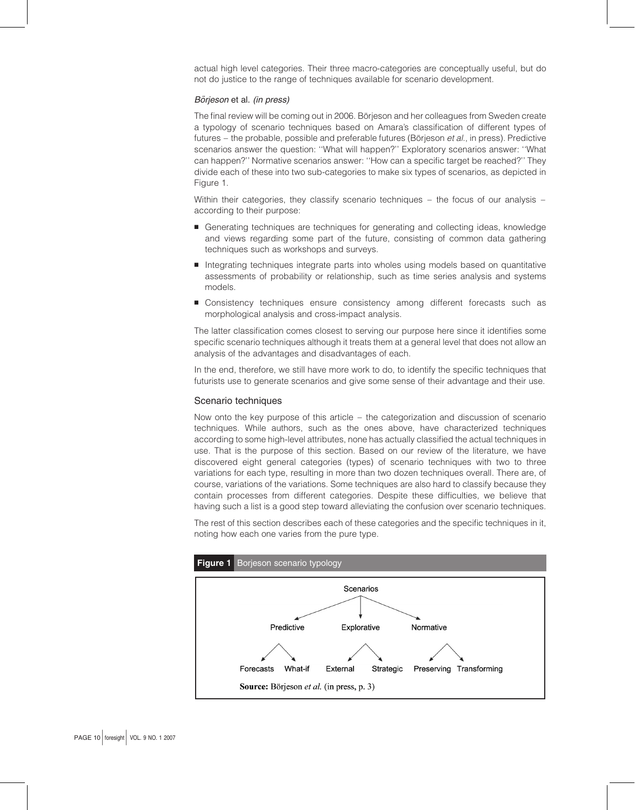actual high level categories. Their three macro-categories are conceptually useful, but do not do justice to the range of techniques available for scenario development.

### Börjeson et al. (in press)

The final review will be coming out in 2006. Börjeson and her colleagues from Sweden create a typology of scenario techniques based on Amara's classification of different types of futures – the probable, possible and preferable futures (Börjeson et al., in press). Predictive scenarios answer the question: ''What will happen?'' Exploratory scenarios answer: ''What can happen?'' Normative scenarios answer: ''How can a specific target be reached?'' They divide each of these into two sub-categories to make six types of scenarios, as depicted in Figure 1.

Within their categories, they classify scenario techniques – the focus of our analysis – according to their purpose:

- <sup>B</sup> Generating techniques are techniques for generating and collecting ideas, knowledge and views regarding some part of the future, consisting of common data gathering techniques such as workshops and surveys.
- **Integrating techniques integrate parts into wholes using models based on quantitative** assessments of probability or relationship, such as time series analysis and systems models.
- **E** Consistency techniques ensure consistency among different forecasts such as morphological analysis and cross-impact analysis.

The latter classification comes closest to serving our purpose here since it identifies some specific scenario techniques although it treats them at a general level that does not allow an analysis of the advantages and disadvantages of each.

In the end, therefore, we still have more work to do, to identify the specific techniques that futurists use to generate scenarios and give some sense of their advantage and their use.

#### Scenario techniques

Now onto the key purpose of this article – the categorization and discussion of scenario techniques. While authors, such as the ones above, have characterized techniques according to some high-level attributes, none has actually classified the actual techniques in use. That is the purpose of this section. Based on our review of the literature, we have discovered eight general categories (types) of scenario techniques with two to three variations for each type, resulting in more than two dozen techniques overall. There are, of course, variations of the variations. Some techniques are also hard to classify because they contain processes from different categories. Despite these difficulties, we believe that having such a list is a good step toward alleviating the confusion over scenario techniques.

The rest of this section describes each of these categories and the specific techniques in it, noting how each one varies from the pure type.

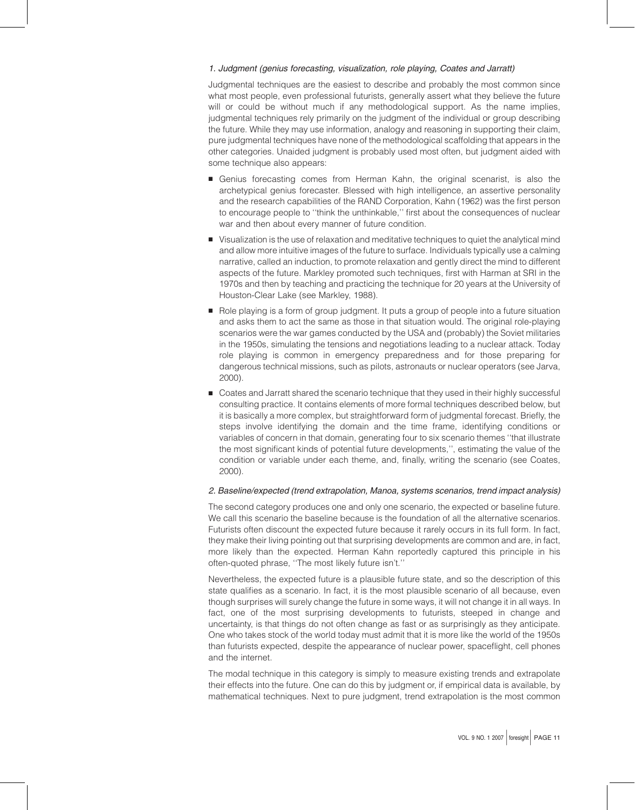### 1. Judgment (genius forecasting, visualization, role playing, Coates and Jarratt)

Judgmental techniques are the easiest to describe and probably the most common since what most people, even professional futurists, generally assert what they believe the future will or could be without much if any methodological support. As the name implies, judgmental techniques rely primarily on the judgment of the individual or group describing the future. While they may use information, analogy and reasoning in supporting their claim, pure judgmental techniques have none of the methodological scaffolding that appears in the other categories. Unaided judgment is probably used most often, but judgment aided with some technique also appears:

- <sup>B</sup> Genius forecasting comes from Herman Kahn, the original scenarist, is also the archetypical genius forecaster. Blessed with high intelligence, an assertive personality and the research capabilities of the RAND Corporation, Kahn (1962) was the first person to encourage people to ''think the unthinkable,'' first about the consequences of nuclear war and then about every manner of future condition.
- **B** Visualization is the use of relaxation and meditative techniques to quiet the analytical mind and allow more intuitive images of the future to surface. Individuals typically use a calming narrative, called an induction, to promote relaxation and gently direct the mind to different aspects of the future. Markley promoted such techniques, first with Harman at SRI in the 1970s and then by teaching and practicing the technique for 20 years at the University of Houston-Clear Lake (see Markley, 1988).
- B Role playing is a form of group judgment. It puts a group of people into a future situation and asks them to act the same as those in that situation would. The original role-playing scenarios were the war games conducted by the USA and (probably) the Soviet militaries in the 1950s, simulating the tensions and negotiations leading to a nuclear attack. Today role playing is common in emergency preparedness and for those preparing for dangerous technical missions, such as pilots, astronauts or nuclear operators (see Jarva, 2000).
- **B** Coates and Jarratt shared the scenario technique that they used in their highly successful consulting practice. It contains elements of more formal techniques described below, but it is basically a more complex, but straightforward form of judgmental forecast. Briefly, the steps involve identifying the domain and the time frame, identifying conditions or variables of concern in that domain, generating four to six scenario themes ''that illustrate the most significant kinds of potential future developments,'', estimating the value of the condition or variable under each theme, and, finally, writing the scenario (see Coates, 2000).

#### 2. Baseline/expected (trend extrapolation, Manoa, systems scenarios, trend impact analysis)

The second category produces one and only one scenario, the expected or baseline future. We call this scenario the baseline because is the foundation of all the alternative scenarios. Futurists often discount the expected future because it rarely occurs in its full form. In fact, they make their living pointing out that surprising developments are common and are, in fact, more likely than the expected. Herman Kahn reportedly captured this principle in his often-quoted phrase, ''The most likely future isn't.''

Nevertheless, the expected future is a plausible future state, and so the description of this state qualifies as a scenario. In fact, it is the most plausible scenario of all because, even though surprises will surely change the future in some ways, it will not change it in all ways. In fact, one of the most surprising developments to futurists, steeped in change and uncertainty, is that things do not often change as fast or as surprisingly as they anticipate. One who takes stock of the world today must admit that it is more like the world of the 1950s than futurists expected, despite the appearance of nuclear power, spaceflight, cell phones and the internet.

The modal technique in this category is simply to measure existing trends and extrapolate their effects into the future. One can do this by judgment or, if empirical data is available, by mathematical techniques. Next to pure judgment, trend extrapolation is the most common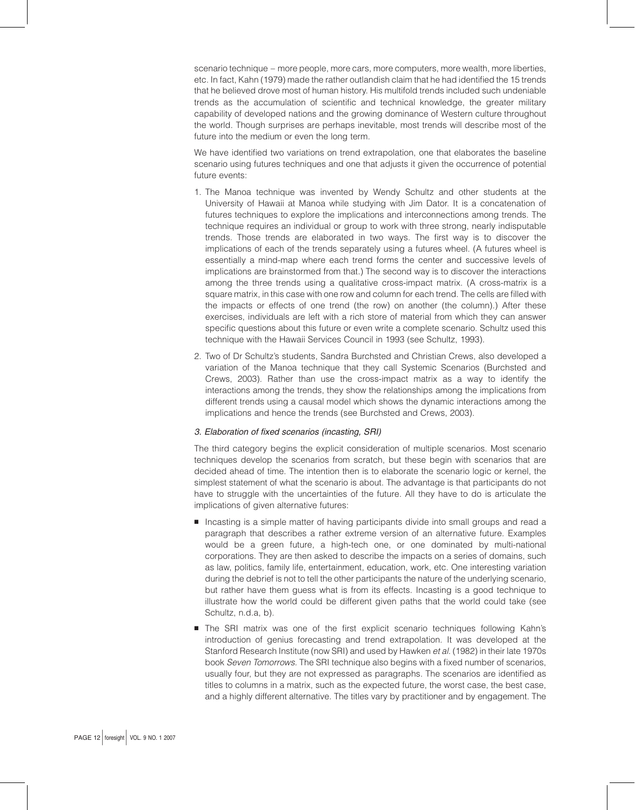scenario technique – more people, more cars, more computers, more wealth, more liberties, etc. In fact, Kahn (1979) made the rather outlandish claim that he had identified the 15 trends that he believed drove most of human history. His multifold trends included such undeniable trends as the accumulation of scientific and technical knowledge, the greater military capability of developed nations and the growing dominance of Western culture throughout the world. Though surprises are perhaps inevitable, most trends will describe most of the future into the medium or even the long term.

We have identified two variations on trend extrapolation, one that elaborates the baseline scenario using futures techniques and one that adjusts it given the occurrence of potential future events:

- 1. The Manoa technique was invented by Wendy Schultz and other students at the University of Hawaii at Manoa while studying with Jim Dator. It is a concatenation of futures techniques to explore the implications and interconnections among trends. The technique requires an individual or group to work with three strong, nearly indisputable trends. Those trends are elaborated in two ways. The first way is to discover the implications of each of the trends separately using a futures wheel. (A futures wheel is essentially a mind-map where each trend forms the center and successive levels of implications are brainstormed from that.) The second way is to discover the interactions among the three trends using a qualitative cross-impact matrix. (A cross-matrix is a square matrix, in this case with one row and column for each trend. The cells are filled with the impacts or effects of one trend (the row) on another (the column).) After these exercises, individuals are left with a rich store of material from which they can answer specific questions about this future or even write a complete scenario. Schultz used this technique with the Hawaii Services Council in 1993 (see Schultz, 1993).
- 2. Two of Dr Schultz's students, Sandra Burchsted and Christian Crews, also developed a variation of the Manoa technique that they call Systemic Scenarios (Burchsted and Crews, 2003). Rather than use the cross-impact matrix as a way to identify the interactions among the trends, they show the relationships among the implications from different trends using a causal model which shows the dynamic interactions among the implications and hence the trends (see Burchsted and Crews, 2003).

#### 3. Elaboration of fixed scenarios (incasting, SRI)

The third category begins the explicit consideration of multiple scenarios. Most scenario techniques develop the scenarios from scratch, but these begin with scenarios that are decided ahead of time. The intention then is to elaborate the scenario logic or kernel, the simplest statement of what the scenario is about. The advantage is that participants do not have to struggle with the uncertainties of the future. All they have to do is articulate the implications of given alternative futures:

- **B** Incasting is a simple matter of having participants divide into small groups and read a paragraph that describes a rather extreme version of an alternative future. Examples would be a green future, a high-tech one, or one dominated by multi-national corporations. They are then asked to describe the impacts on a series of domains, such as law, politics, family life, entertainment, education, work, etc. One interesting variation during the debrief is not to tell the other participants the nature of the underlying scenario, but rather have them guess what is from its effects. Incasting is a good technique to illustrate how the world could be different given paths that the world could take (see Schultz, n.d.a, b).
- **B** The SRI matrix was one of the first explicit scenario techniques following Kahn's introduction of genius forecasting and trend extrapolation. It was developed at the Stanford Research Institute (now SRI) and used by Hawken et al. (1982) in their late 1970s book Seven Tomorrows. The SRI technique also begins with a fixed number of scenarios, usually four, but they are not expressed as paragraphs. The scenarios are identified as titles to columns in a matrix, such as the expected future, the worst case, the best case, and a highly different alternative. The titles vary by practitioner and by engagement. The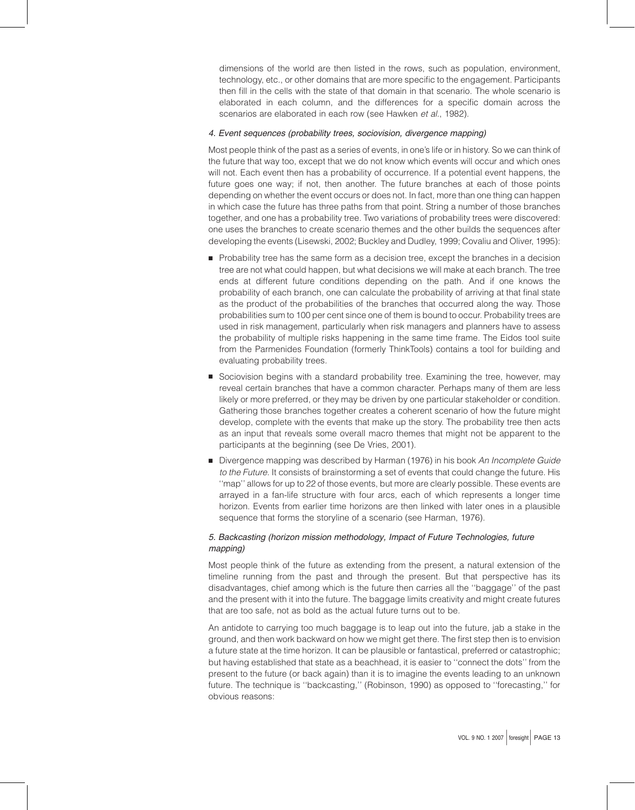dimensions of the world are then listed in the rows, such as population, environment, technology, etc., or other domains that are more specific to the engagement. Participants then fill in the cells with the state of that domain in that scenario. The whole scenario is elaborated in each column, and the differences for a specific domain across the scenarios are elaborated in each row (see Hawken et al., 1982).

#### 4. Event sequences (probability trees, sociovision, divergence mapping)

Most people think of the past as a series of events, in one's life or in history. So we can think of the future that way too, except that we do not know which events will occur and which ones will not. Each event then has a probability of occurrence. If a potential event happens, the future goes one way; if not, then another. The future branches at each of those points depending on whether the event occurs or does not. In fact, more than one thing can happen in which case the future has three paths from that point. String a number of those branches together, and one has a probability tree. Two variations of probability trees were discovered: one uses the branches to create scenario themes and the other builds the sequences after developing the events (Lisewski, 2002; Buckley and Dudley, 1999; Covaliu and Oliver, 1995):

- **Probability tree has the same form as a decision tree, except the branches in a decision** tree are not what could happen, but what decisions we will make at each branch. The tree ends at different future conditions depending on the path. And if one knows the probability of each branch, one can calculate the probability of arriving at that final state as the product of the probabilities of the branches that occurred along the way. Those probabilities sum to 100 per cent since one of them is bound to occur. Probability trees are used in risk management, particularly when risk managers and planners have to assess the probability of multiple risks happening in the same time frame. The Eidos tool suite from the Parmenides Foundation (formerly ThinkTools) contains a tool for building and evaluating probability trees.
- **B** Sociovision begins with a standard probability tree. Examining the tree, however, may reveal certain branches that have a common character. Perhaps many of them are less likely or more preferred, or they may be driven by one particular stakeholder or condition. Gathering those branches together creates a coherent scenario of how the future might develop, complete with the events that make up the story. The probability tree then acts as an input that reveals some overall macro themes that might not be apparent to the participants at the beginning (see De Vries, 2001).
- Divergence mapping was described by Harman (1976) in his book An Incomplete Guide to the Future. It consists of brainstorming a set of events that could change the future. His ''map'' allows for up to 22 of those events, but more are clearly possible. These events are arrayed in a fan-life structure with four arcs, each of which represents a longer time horizon. Events from earlier time horizons are then linked with later ones in a plausible sequence that forms the storyline of a scenario (see Harman, 1976).

# 5. Backcasting (horizon mission methodology, Impact of Future Technologies, future mapping)

Most people think of the future as extending from the present, a natural extension of the timeline running from the past and through the present. But that perspective has its disadvantages, chief among which is the future then carries all the ''baggage'' of the past and the present with it into the future. The baggage limits creativity and might create futures that are too safe, not as bold as the actual future turns out to be.

An antidote to carrying too much baggage is to leap out into the future, jab a stake in the ground, and then work backward on how we might get there. The first step then is to envision a future state at the time horizon. It can be plausible or fantastical, preferred or catastrophic; but having established that state as a beachhead, it is easier to ''connect the dots'' from the present to the future (or back again) than it is to imagine the events leading to an unknown future. The technique is ''backcasting,'' (Robinson, 1990) as opposed to ''forecasting,'' for obvious reasons: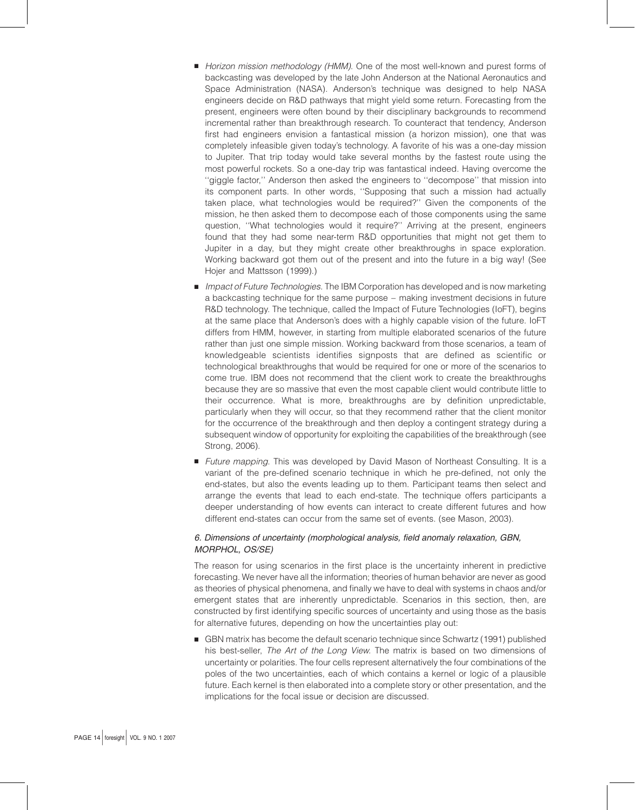- **B** Horizon mission methodology (HMM). One of the most well-known and purest forms of backcasting was developed by the late John Anderson at the National Aeronautics and Space Administration (NASA). Anderson's technique was designed to help NASA engineers decide on R&D pathways that might yield some return. Forecasting from the present, engineers were often bound by their disciplinary backgrounds to recommend incremental rather than breakthrough research. To counteract that tendency, Anderson first had engineers envision a fantastical mission (a horizon mission), one that was completely infeasible given today's technology. A favorite of his was a one-day mission to Jupiter. That trip today would take several months by the fastest route using the most powerful rockets. So a one-day trip was fantastical indeed. Having overcome the ''giggle factor,'' Anderson then asked the engineers to ''decompose'' that mission into its component parts. In other words, ''Supposing that such a mission had actually taken place, what technologies would be required?'' Given the components of the mission, he then asked them to decompose each of those components using the same question, ''What technologies would it require?'' Arriving at the present, engineers found that they had some near-term R&D opportunities that might not get them to Jupiter in a day, but they might create other breakthroughs in space exploration. Working backward got them out of the present and into the future in a big way! (See Hojer and Mattsson (1999).)
- **B** Impact of Future Technologies. The IBM Corporation has developed and is now marketing a backcasting technique for the same purpose – making investment decisions in future R&D technology. The technique, called the Impact of Future Technologies (IoFT), begins at the same place that Anderson's does with a highly capable vision of the future. IoFT differs from HMM, however, in starting from multiple elaborated scenarios of the future rather than just one simple mission. Working backward from those scenarios, a team of knowledgeable scientists identifies signposts that are defined as scientific or technological breakthroughs that would be required for one or more of the scenarios to come true. IBM does not recommend that the client work to create the breakthroughs because they are so massive that even the most capable client would contribute little to their occurrence. What is more, breakthroughs are by definition unpredictable, particularly when they will occur, so that they recommend rather that the client monitor for the occurrence of the breakthrough and then deploy a contingent strategy during a subsequent window of opportunity for exploiting the capabilities of the breakthrough (see Strong, 2006).
- **B** Future mapping. This was developed by David Mason of Northeast Consulting. It is a variant of the pre-defined scenario technique in which he pre-defined, not only the end-states, but also the events leading up to them. Participant teams then select and arrange the events that lead to each end-state. The technique offers participants a deeper understanding of how events can interact to create different futures and how different end-states can occur from the same set of events. (see Mason, 2003).

# 6. Dimensions of uncertainty (morphological analysis, field anomaly relaxation, GBN, MORPHOL, OS/SE)

The reason for using scenarios in the first place is the uncertainty inherent in predictive forecasting. We never have all the information; theories of human behavior are never as good as theories of physical phenomena, and finally we have to deal with systems in chaos and/or emergent states that are inherently unpredictable. Scenarios in this section, then, are constructed by first identifying specific sources of uncertainty and using those as the basis for alternative futures, depending on how the uncertainties play out:

GBN matrix has become the default scenario technique since Schwartz (1991) published his best-seller, The Art of the Long View. The matrix is based on two dimensions of uncertainty or polarities. The four cells represent alternatively the four combinations of the poles of the two uncertainties, each of which contains a kernel or logic of a plausible future. Each kernel is then elaborated into a complete story or other presentation, and the implications for the focal issue or decision are discussed.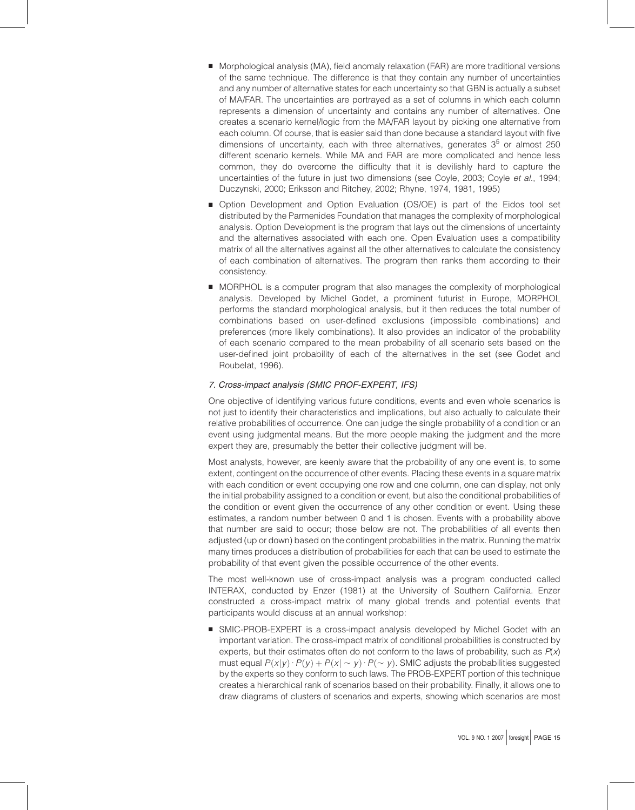- **B** Morphological analysis (MA), field anomaly relaxation (FAR) are more traditional versions of the same technique. The difference is that they contain any number of uncertainties and any number of alternative states for each uncertainty so that GBN is actually a subset of MA/FAR. The uncertainties are portrayed as a set of columns in which each column represents a dimension of uncertainty and contains any number of alternatives. One creates a scenario kernel/logic from the MA/FAR layout by picking one alternative from each column. Of course, that is easier said than done because a standard layout with five dimensions of uncertainty, each with three alternatives, generates  $3<sup>5</sup>$  or almost 250 different scenario kernels. While MA and FAR are more complicated and hence less common, they do overcome the difficulty that it is devilishly hard to capture the uncertainties of the future in just two dimensions (see Coyle, 2003; Coyle et al., 1994; Duczynski, 2000; Eriksson and Ritchey, 2002; Rhyne, 1974, 1981, 1995)
- **Deption Development and Option Evaluation (OS/OE) is part of the Eidos tool set** distributed by the Parmenides Foundation that manages the complexity of morphological analysis. Option Development is the program that lays out the dimensions of uncertainty and the alternatives associated with each one. Open Evaluation uses a compatibility matrix of all the alternatives against all the other alternatives to calculate the consistency of each combination of alternatives. The program then ranks them according to their consistency.
- **B** MORPHOL is a computer program that also manages the complexity of morphological analysis. Developed by Michel Godet, a prominent futurist in Europe, MORPHOL performs the standard morphological analysis, but it then reduces the total number of combinations based on user-defined exclusions (impossible combinations) and preferences (more likely combinations). It also provides an indicator of the probability of each scenario compared to the mean probability of all scenario sets based on the user-defined joint probability of each of the alternatives in the set (see Godet and Roubelat, 1996).

#### 7. Cross-impact analysis (SMIC PROF-EXPERT, IFS)

One objective of identifying various future conditions, events and even whole scenarios is not just to identify their characteristics and implications, but also actually to calculate their relative probabilities of occurrence. One can judge the single probability of a condition or an event using judgmental means. But the more people making the judgment and the more expert they are, presumably the better their collective judgment will be.

Most analysts, however, are keenly aware that the probability of any one event is, to some extent, contingent on the occurrence of other events. Placing these events in a square matrix with each condition or event occupying one row and one column, one can display, not only the initial probability assigned to a condition or event, but also the conditional probabilities of the condition or event given the occurrence of any other condition or event. Using these estimates, a random number between 0 and 1 is chosen. Events with a probability above that number are said to occur; those below are not. The probabilities of all events then adjusted (up or down) based on the contingent probabilities in the matrix. Running the matrix many times produces a distribution of probabilities for each that can be used to estimate the probability of that event given the possible occurrence of the other events.

The most well-known use of cross-impact analysis was a program conducted called INTERAX, conducted by Enzer (1981) at the University of Southern California. Enzer constructed a cross-impact matrix of many global trends and potential events that participants would discuss at an annual workshop:

**B SMIC-PROB-EXPERT** is a cross-impact analysis developed by Michel Godet with an important variation. The cross-impact matrix of conditional probabilities is constructed by experts, but their estimates often do not conform to the laws of probability, such as  $P(x)$ must equal  $P(x|y) \cdot P(y) + P(x|\sim y) \cdot P(\sim y)$ . SMIC adjusts the probabilities suggested by the experts so they conform to such laws. The PROB-EXPERT portion of this technique creates a hierarchical rank of scenarios based on their probability. Finally, it allows one to draw diagrams of clusters of scenarios and experts, showing which scenarios are most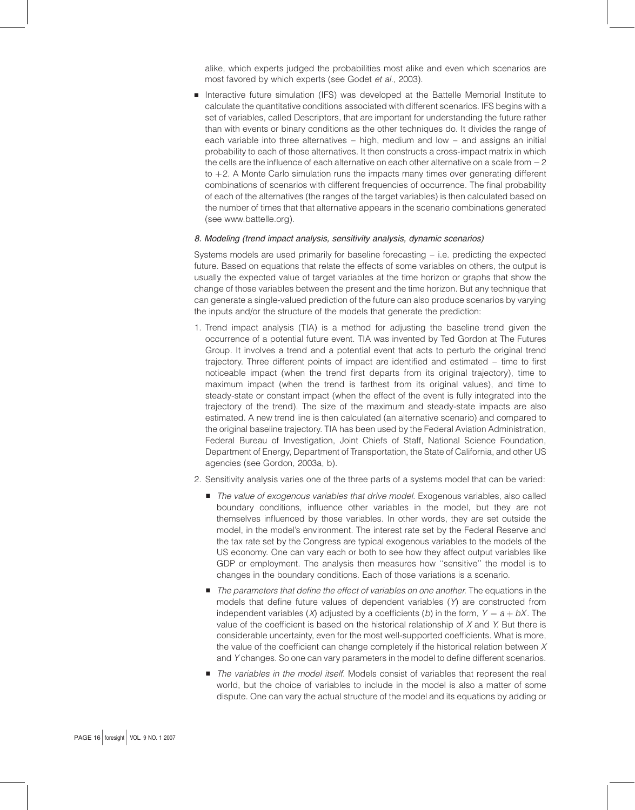alike, which experts judged the probabilities most alike and even which scenarios are most favored by which experts (see Godet et al., 2003).

**B** Interactive future simulation (IFS) was developed at the Battelle Memorial Institute to calculate the quantitative conditions associated with different scenarios. IFS begins with a set of variables, called Descriptors, that are important for understanding the future rather than with events or binary conditions as the other techniques do. It divides the range of each variable into three alternatives – high, medium and low – and assigns an initial probability to each of those alternatives. It then constructs a cross-impact matrix in which the cells are the influence of each alternative on each other alternative on a scale from  $-2$ to  $+2$ . A Monte Carlo simulation runs the impacts many times over generating different combinations of scenarios with different frequencies of occurrence. The final probability of each of the alternatives (the ranges of the target variables) is then calculated based on the number of times that that alternative appears in the scenario combinations generated (see www.battelle.org).

#### 8. Modeling (trend impact analysis, sensitivity analysis, dynamic scenarios)

Systems models are used primarily for baseline forecasting – i.e. predicting the expected future. Based on equations that relate the effects of some variables on others, the output is usually the expected value of target variables at the time horizon or graphs that show the change of those variables between the present and the time horizon. But any technique that can generate a single-valued prediction of the future can also produce scenarios by varying the inputs and/or the structure of the models that generate the prediction:

- 1. Trend impact analysis (TIA) is a method for adjusting the baseline trend given the occurrence of a potential future event. TIA was invented by Ted Gordon at The Futures Group. It involves a trend and a potential event that acts to perturb the original trend trajectory. Three different points of impact are identified and estimated – time to first noticeable impact (when the trend first departs from its original trajectory), time to maximum impact (when the trend is farthest from its original values), and time to steady-state or constant impact (when the effect of the event is fully integrated into the trajectory of the trend). The size of the maximum and steady-state impacts are also estimated. A new trend line is then calculated (an alternative scenario) and compared to the original baseline trajectory. TIA has been used by the Federal Aviation Administration, Federal Bureau of Investigation, Joint Chiefs of Staff, National Science Foundation, Department of Energy, Department of Transportation, the State of California, and other US agencies (see Gordon, 2003a, b).
- 2. Sensitivity analysis varies one of the three parts of a systems model that can be varied:
	- **B** The value of exogenous variables that drive model. Exogenous variables, also called boundary conditions, influence other variables in the model, but they are not themselves influenced by those variables. In other words, they are set outside the model, in the model's environment. The interest rate set by the Federal Reserve and the tax rate set by the Congress are typical exogenous variables to the models of the US economy. One can vary each or both to see how they affect output variables like GDP or employment. The analysis then measures how ''sensitive'' the model is to changes in the boundary conditions. Each of those variations is a scenario.
	- **B** The parameters that define the effect of variables on one another. The equations in the models that define future values of dependent variables  $(Y)$  are constructed from independent variables (X) adjusted by a coefficients (b) in the form,  $Y = a + bX$ . The value of the coefficient is based on the historical relationship of  $X$  and  $Y$ . But there is considerable uncertainty, even for the most well-supported coefficients. What is more, the value of the coefficient can change completely if the historical relation between  $X$ and Y changes. So one can vary parameters in the model to define different scenarios.
	- **B** The variables in the model itself. Models consist of variables that represent the real world, but the choice of variables to include in the model is also a matter of some dispute. One can vary the actual structure of the model and its equations by adding or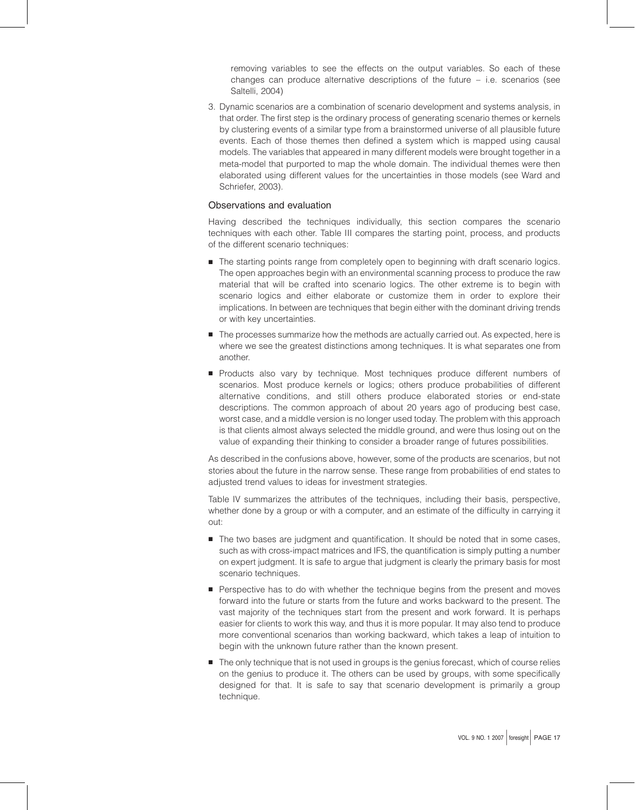removing variables to see the effects on the output variables. So each of these changes can produce alternative descriptions of the future – i.e. scenarios (see Saltelli, 2004)

3. Dynamic scenarios are a combination of scenario development and systems analysis, in that order. The first step is the ordinary process of generating scenario themes or kernels by clustering events of a similar type from a brainstormed universe of all plausible future events. Each of those themes then defined a system which is mapped using causal models. The variables that appeared in many different models were brought together in a meta-model that purported to map the whole domain. The individual themes were then elaborated using different values for the uncertainties in those models (see Ward and Schriefer, 2003).

# Observations and evaluation

Having described the techniques individually, this section compares the scenario techniques with each other. Table III compares the starting point, process, and products of the different scenario techniques:

- **B** The starting points range from completely open to beginning with draft scenario logics. The open approaches begin with an environmental scanning process to produce the raw material that will be crafted into scenario logics. The other extreme is to begin with scenario logics and either elaborate or customize them in order to explore their implications. In between are techniques that begin either with the dominant driving trends or with key uncertainties.
- **B** The processes summarize how the methods are actually carried out. As expected, here is where we see the greatest distinctions among techniques. It is what separates one from another.
- **Products also vary by technique. Most techniques produce different numbers of** scenarios. Most produce kernels or logics; others produce probabilities of different alternative conditions, and still others produce elaborated stories or end-state descriptions. The common approach of about 20 years ago of producing best case, worst case, and a middle version is no longer used today. The problem with this approach is that clients almost always selected the middle ground, and were thus losing out on the value of expanding their thinking to consider a broader range of futures possibilities.

As described in the confusions above, however, some of the products are scenarios, but not stories about the future in the narrow sense. These range from probabilities of end states to adjusted trend values to ideas for investment strategies.

Table IV summarizes the attributes of the techniques, including their basis, perspective, whether done by a group or with a computer, and an estimate of the difficulty in carrying it out:

- **B** The two bases are judgment and quantification. It should be noted that in some cases, such as with cross-impact matrices and IFS, the quantification is simply putting a number on expert judgment. It is safe to argue that judgment is clearly the primary basis for most scenario techniques.
- **Perspective has to do with whether the technique begins from the present and moves** forward into the future or starts from the future and works backward to the present. The vast majority of the techniques start from the present and work forward. It is perhaps easier for clients to work this way, and thus it is more popular. It may also tend to produce more conventional scenarios than working backward, which takes a leap of intuition to begin with the unknown future rather than the known present.
- **F** The only technique that is not used in groups is the genius forecast, which of course relies on the genius to produce it. The others can be used by groups, with some specifically designed for that. It is safe to say that scenario development is primarily a group technique.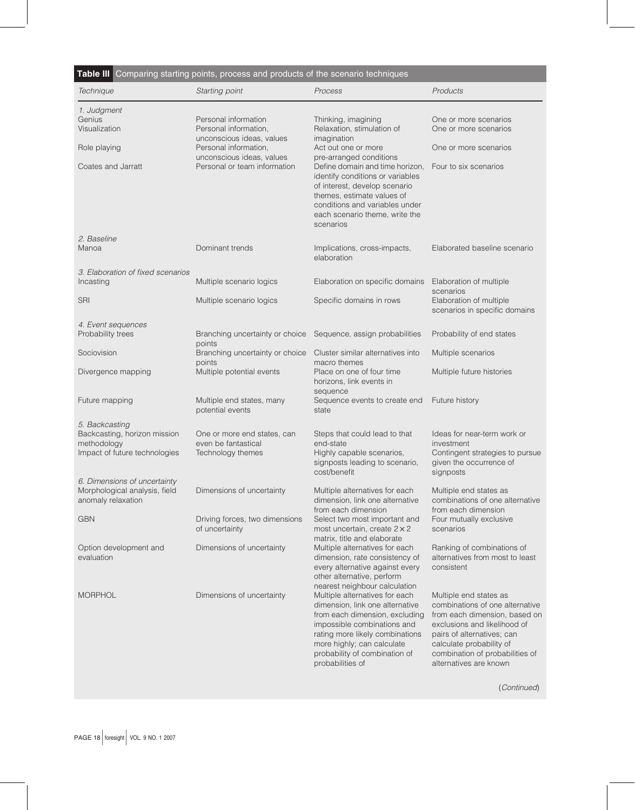| Technique                                                                                      | Starting point                                                          | Process                                                                                                                                                                                                                                                                                   | Products                                                                                                                                                                                                                                          |
|------------------------------------------------------------------------------------------------|-------------------------------------------------------------------------|-------------------------------------------------------------------------------------------------------------------------------------------------------------------------------------------------------------------------------------------------------------------------------------------|---------------------------------------------------------------------------------------------------------------------------------------------------------------------------------------------------------------------------------------------------|
|                                                                                                |                                                                         |                                                                                                                                                                                                                                                                                           |                                                                                                                                                                                                                                                   |
| 1. Judgment<br>Genius                                                                          | Personal information                                                    | Thinking, imagining                                                                                                                                                                                                                                                                       | One or more scenarios                                                                                                                                                                                                                             |
| Visualization                                                                                  | Personal information,                                                   | Relaxation, stimulation of                                                                                                                                                                                                                                                                | One or more scenarios                                                                                                                                                                                                                             |
| Role playing                                                                                   | unconscious ideas, values<br>Personal information,                      | imagination<br>Act out one or more                                                                                                                                                                                                                                                        | One or more scenarios                                                                                                                                                                                                                             |
| Coates and Jarratt                                                                             | unconscious ideas, values<br>Personal or team information               | pre-arranged conditions<br>Define domain and time horizon,<br>identify conditions or variables<br>of interest, develop scenario<br>themes, estimate values of<br>conditions and variables under                                                                                           | Four to six scenarios                                                                                                                                                                                                                             |
|                                                                                                |                                                                         | each scenario theme, write the<br>scenarios                                                                                                                                                                                                                                               |                                                                                                                                                                                                                                                   |
| 2. Baseline                                                                                    |                                                                         |                                                                                                                                                                                                                                                                                           |                                                                                                                                                                                                                                                   |
| Manoa                                                                                          | Dominant trends                                                         | Implications, cross-impacts,<br>elaboration                                                                                                                                                                                                                                               | Elaborated baseline scenario                                                                                                                                                                                                                      |
| 3. Elaboration of fixed scenarios<br>Incasting                                                 | Multiple scenario logics                                                | Elaboration on specific domains                                                                                                                                                                                                                                                           | Elaboration of multiple                                                                                                                                                                                                                           |
|                                                                                                |                                                                         |                                                                                                                                                                                                                                                                                           | scenarios                                                                                                                                                                                                                                         |
| <b>SRI</b>                                                                                     | Multiple scenario logics                                                | Specific domains in rows                                                                                                                                                                                                                                                                  | Elaboration of multiple<br>scenarios in specific domains                                                                                                                                                                                          |
| 4. Event sequences<br>Probability trees                                                        | Branching uncertainty or choice<br>points                               | Sequence, assign probabilities                                                                                                                                                                                                                                                            | Probability of end states                                                                                                                                                                                                                         |
| Sociovision                                                                                    | Branching uncertainty or choice                                         | Cluster similar alternatives into                                                                                                                                                                                                                                                         | Multiple scenarios                                                                                                                                                                                                                                |
| Divergence mapping                                                                             | points<br>Multiple potential events                                     | macro themes<br>Place on one of four time<br>horizons, link events in                                                                                                                                                                                                                     | Multiple future histories                                                                                                                                                                                                                         |
| Future mapping                                                                                 | Multiple end states, many<br>potential events                           | sequence<br>Sequence events to create end<br>state                                                                                                                                                                                                                                        | Future history                                                                                                                                                                                                                                    |
| 5. Backcasting<br>Backcasting, horizon mission<br>methodology<br>Impact of future technologies | One or more end states, can<br>even be fantastical<br>Technology themes | Steps that could lead to that<br>end-state<br>Highly capable scenarios,<br>signposts leading to scenario,<br>cost/benefit                                                                                                                                                                 | Ideas for near-term work or<br>investment<br>Contingent strategies to pursue<br>given the occurrence of<br>signposts                                                                                                                              |
| 6. Dimensions of uncertainty<br>Morphological analysis, field<br>anomaly relaxation            | Dimensions of uncertainty                                               | Multiple alternatives for each<br>dimension, link one alternative                                                                                                                                                                                                                         | Multiple end states as<br>combinations of one alternative                                                                                                                                                                                         |
| <b>GBN</b>                                                                                     | Driving forces, two dimensions<br>of uncertainty                        | from each dimension<br>Select two most important and<br>most uncertain, create $2 \times 2$                                                                                                                                                                                               | from each dimension<br>Four mutually exclusive<br>scenarios                                                                                                                                                                                       |
| Option development and<br>evaluation                                                           | Dimensions of uncertainty                                               | matrix, title and elaborate<br>Multiple alternatives for each<br>dimension, rate consistency of<br>every alternative against every<br>other alternative, perform                                                                                                                          | Ranking of combinations of<br>alternatives from most to least<br>consistent                                                                                                                                                                       |
| <b>MORPHOL</b>                                                                                 | Dimensions of uncertainty                                               | nearest neighbour calculation<br>Multiple alternatives for each<br>dimension, link one alternative<br>from each dimension, excluding<br>impossible combinations and<br>rating more likely combinations<br>more highly; can calculate<br>probability of combination of<br>probabilities of | Multiple end states as<br>combinations of one alternative<br>from each dimension, based on<br>exclusions and likelihood of<br>pairs of alternatives; can<br>calculate probability of<br>combination of probabilities of<br>alternatives are known |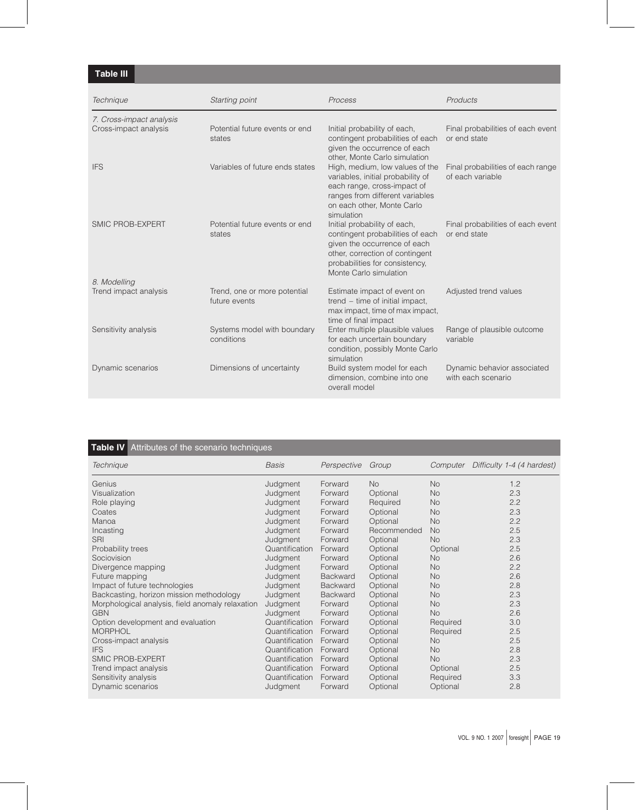# Table III

| Technique                                         | Starting point                                | Process                                                                                                                                                                                         | Products                                              |
|---------------------------------------------------|-----------------------------------------------|-------------------------------------------------------------------------------------------------------------------------------------------------------------------------------------------------|-------------------------------------------------------|
| 7. Cross-impact analysis<br>Cross-impact analysis | Potential future events or end<br>states      | Initial probability of each,<br>contingent probabilities of each<br>given the occurrence of each<br>other, Monte Carlo simulation                                                               | Final probabilities of each event<br>or end state     |
| <b>IFS</b>                                        | Variables of future ends states               | High, medium, low values of the<br>variables, initial probability of<br>each range, cross-impact of<br>ranges from different variables<br>on each other, Monte Carlo<br>simulation              | Final probabilities of each range<br>of each variable |
| SMIC PROB-EXPERT                                  | Potential future events or end<br>states      | Initial probability of each,<br>contingent probabilities of each<br>given the occurrence of each<br>other, correction of contingent<br>probabilities for consistency,<br>Monte Carlo simulation | Final probabilities of each event<br>or end state     |
| 8. Modelling<br>Trend impact analysis             | Trend, one or more potential<br>future events | Estimate impact of event on<br>trend - time of initial impact,<br>max impact, time of max impact,<br>time of final impact                                                                       | Adjusted trend values                                 |
| Sensitivity analysis                              | Systems model with boundary<br>conditions     | Enter multiple plausible values<br>for each uncertain boundary<br>condition, possibly Monte Carlo<br>simulation                                                                                 | Range of plausible outcome<br>variable                |
| Dynamic scenarios                                 | Dimensions of uncertainty                     | Build system model for each<br>dimension, combine into one<br>overall model                                                                                                                     | Dynamic behavior associated<br>with each scenario     |

# Table IV Attributes of the scenario techniques Technique Basis Perspective Group Computer Difficulty 1-4 (4 hardest)

| <i>IGOI II IIQUG</i>                             | vaəiə          | I GISPECTIVE CILCUP |             |           | Compaign Dimeany 1-4 (4 hardest) |
|--------------------------------------------------|----------------|---------------------|-------------|-----------|----------------------------------|
| Genius                                           | Judgment       | Forward             | <b>No</b>   | <b>No</b> | 1.2                              |
| Visualization                                    | Judgment       | Forward             | Optional    | <b>No</b> | 2.3                              |
| Role playing                                     | Judgment       | Forward             | Required    | No.       | 2.2                              |
| Coates                                           | Judgment       | Forward             | Optional    | No.       | 2.3                              |
| Manoa                                            | Judgment       | Forward             | Optional    | <b>No</b> | 2.2                              |
| Incasting                                        | Judgment       | Forward             | Recommended | <b>No</b> | 2.5                              |
| <b>SRI</b>                                       | Judgment       | Forward             | Optional    | <b>No</b> | 2.3                              |
| Probability trees                                | Quantification | Forward             | Optional    | Optional  | 2.5                              |
| Sociovision                                      | Judgment       | Forward             | Optional    | <b>No</b> | 2.6                              |
| Divergence mapping                               | Judgment       | Forward             | Optional    | <b>No</b> | 2.2                              |
| Future mapping                                   | Judgment       | <b>Backward</b>     | Optional    | <b>No</b> | 2.6                              |
| Impact of future technologies                    | Judgment       | <b>Backward</b>     | Optional    | <b>No</b> | 2.8                              |
| Backcasting, horizon mission methodology         | Judgment       | <b>Backward</b>     | Optional    | <b>No</b> | 2.3                              |
| Morphological analysis, field anomaly relaxation | Judgment       | Forward             | Optional    | <b>No</b> | 2.3                              |
| <b>GBN</b>                                       | Judgment       | Forward             | Optional    | <b>No</b> | 2.6                              |
| Option development and evaluation                | Quantification | Forward             | Optional    | Required  | 3.0                              |
| <b>MORPHOL</b>                                   | Quantification | Forward             | Optional    | Required  | 2.5                              |
| Cross-impact analysis                            | Quantification | Forward             | Optional    | <b>No</b> | 2.5                              |
| <b>IFS</b>                                       | Quantification | Forward             | Optional    | <b>No</b> | 2.8                              |
| SMIC PROB-EXPERT                                 | Quantification | Forward             | Optional    | <b>No</b> | 2.3                              |
| Trend impact analysis                            | Quantification | Forward             | Optional    | Optional  | 2.5                              |
| Sensitivity analysis                             | Quantification | Forward             | Optional    | Required  | 3.3                              |
| Dynamic scenarios                                | Judgment       | Forward             | Optional    | Optional  | 2.8                              |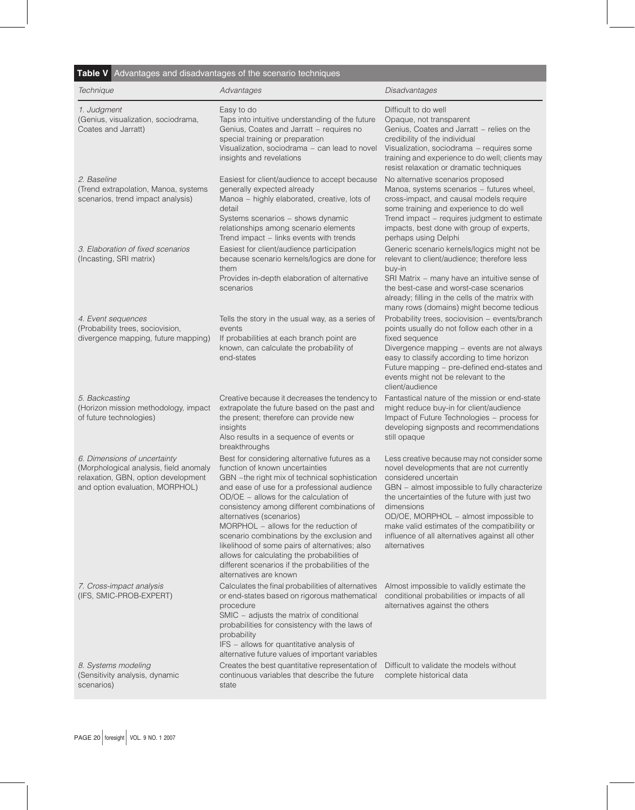| <b>Table V</b> Advantages and disadvantages of the scenario techniques |  |
|------------------------------------------------------------------------|--|
|------------------------------------------------------------------------|--|

| Technique                                                                                                                                        | Advantages                                                                                                                                                                                                                                                                                                                                                                                                                                                                                                                                                                 | Disadvantages                                                                                                                                                                                                                                                                                                                                                                                |
|--------------------------------------------------------------------------------------------------------------------------------------------------|----------------------------------------------------------------------------------------------------------------------------------------------------------------------------------------------------------------------------------------------------------------------------------------------------------------------------------------------------------------------------------------------------------------------------------------------------------------------------------------------------------------------------------------------------------------------------|----------------------------------------------------------------------------------------------------------------------------------------------------------------------------------------------------------------------------------------------------------------------------------------------------------------------------------------------------------------------------------------------|
| 1. Judgment<br>(Genius, visualization, sociodrama,<br>Coates and Jarratt)                                                                        | Easy to do<br>Taps into intuitive understanding of the future<br>Genius, Coates and Jarratt - requires no<br>special training or preparation<br>Visualization, sociodrama - can lead to novel<br>insights and revelations                                                                                                                                                                                                                                                                                                                                                  | Difficult to do well<br>Opaque, not transparent<br>Genius, Coates and Jarratt - relies on the<br>credibility of the individual<br>Visualization, sociodrama - requires some<br>training and experience to do well; clients may<br>resist relaxation or dramatic techniques                                                                                                                   |
| 2. Baseline<br>(Trend extrapolation, Manoa, systems<br>scenarios, trend impact analysis)                                                         | Easiest for client/audience to accept because<br>generally expected already<br>Manoa - highly elaborated, creative, lots of<br>detail<br>Systems scenarios - shows dynamic<br>relationships among scenario elements<br>Trend impact - links events with trends                                                                                                                                                                                                                                                                                                             | No alternative scenarios proposed<br>Manoa, systems scenarios - futures wheel,<br>cross-impact, and causal models require<br>some training and experience to do well<br>Trend impact - requires judgment to estimate<br>impacts, best done with group of experts,<br>perhaps using Delphi                                                                                                    |
| 3. Elaboration of fixed scenarios<br>(Incasting, SRI matrix)                                                                                     | Easiest for client/audience participation<br>because scenario kernels/logics are done for<br>them<br>Provides in-depth elaboration of alternative<br>scenarios                                                                                                                                                                                                                                                                                                                                                                                                             | Generic scenario kernels/logics might not be<br>relevant to client/audience; therefore less<br>buy-in<br>SRI Matrix - many have an intuitive sense of<br>the best-case and worst-case scenarios<br>already; filling in the cells of the matrix with<br>many rows (domains) might become tedious                                                                                              |
| 4. Event sequences<br>(Probability trees, sociovision,<br>divergence mapping, future mapping)                                                    | Tells the story in the usual way, as a series of<br>events<br>If probabilities at each branch point are<br>known, can calculate the probability of<br>end-states                                                                                                                                                                                                                                                                                                                                                                                                           | Probability trees, sociovision - events/branch<br>points usually do not follow each other in a<br>fixed sequence<br>Divergence mapping - events are not always<br>easy to classify according to time horizon<br>Future mapping - pre-defined end-states and<br>events might not be relevant to the<br>client/audience                                                                        |
| 5. Backcasting<br>(Horizon mission methodology, impact<br>of future technologies)                                                                | Creative because it decreases the tendency to<br>extrapolate the future based on the past and<br>the present; therefore can provide new<br>insights<br>Also results in a sequence of events or<br>breakthroughs                                                                                                                                                                                                                                                                                                                                                            | Fantastical nature of the mission or end-state<br>might reduce buy-in for client/audience<br>Impact of Future Technologies - process for<br>developing signposts and recommendations<br>still opaque                                                                                                                                                                                         |
| 6. Dimensions of uncertainty<br>(Morphological analysis, field anomaly<br>relaxation, GBN, option development<br>and option evaluation, MORPHOL) | Best for considering alternative futures as a<br>function of known uncertainties<br>GBN -the right mix of technical sophistication<br>and ease of use for a professional audience<br>OD/OE - allows for the calculation of<br>consistency among different combinations of<br>alternatives (scenarios)<br>MORPHOL – allows for the reduction of<br>scenario combinations by the exclusion and<br>likelihood of some pairs of alternatives; also<br>allows for calculating the probabilities of<br>different scenarios if the probabilities of the<br>alternatives are known | Less creative because may not consider some<br>novel developments that are not currently<br>considered uncertain<br>GBN - almost impossible to fully characterize<br>the uncertainties of the future with just two<br>dimensions<br>OD/OE, MORPHOL - almost impossible to<br>make valid estimates of the compatibility or<br>influence of all alternatives against all other<br>alternatives |
| 7. Cross-impact analysis<br>(IFS, SMIC-PROB-EXPERT)                                                                                              | Calculates the final probabilities of alternatives<br>or end-states based on rigorous mathematical<br>procedure<br>SMIC - adjusts the matrix of conditional<br>probabilities for consistency with the laws of<br>probability<br>IFS - allows for quantitative analysis of<br>alternative future values of important variables                                                                                                                                                                                                                                              | Almost impossible to validly estimate the<br>conditional probabilities or impacts of all<br>alternatives against the others                                                                                                                                                                                                                                                                  |
| 8. Systems modeling<br>(Sensitivity analysis, dynamic<br>scenarios)                                                                              | Creates the best quantitative representation of<br>continuous variables that describe the future<br>state                                                                                                                                                                                                                                                                                                                                                                                                                                                                  | Difficult to validate the models without<br>complete historical data                                                                                                                                                                                                                                                                                                                         |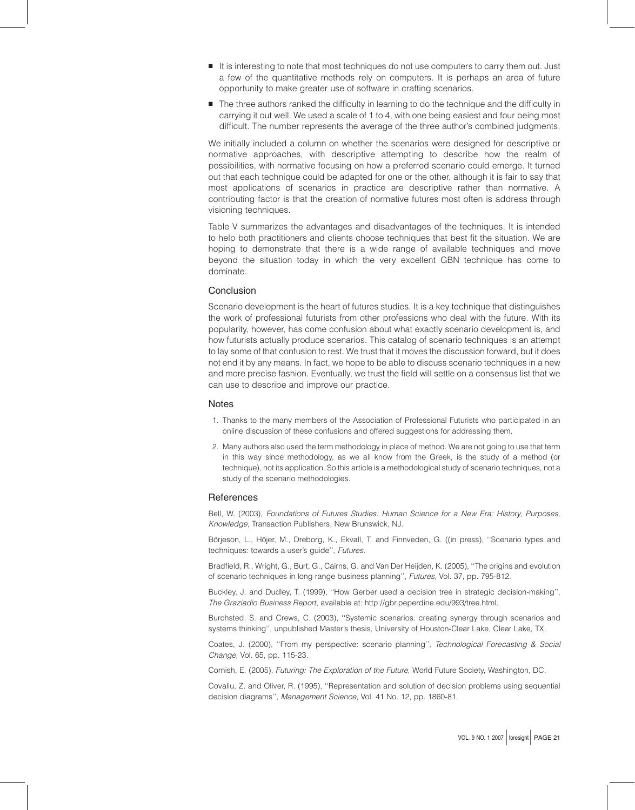- It is interesting to note that most techniques do not use computers to carry them out. Just a few of the quantitative methods rely on computers. It is perhaps an area of future opportunity to make greater use of software in crafting scenarios.
- **B** The three authors ranked the difficulty in learning to do the technique and the difficulty in carrying it out well. We used a scale of 1 to 4, with one being easiest and four being most difficult. The number represents the average of the three author's combined judgments.

We initially included a column on whether the scenarios were designed for descriptive or normative approaches, with descriptive attempting to describe how the realm of possibilities, with normative focusing on how a preferred scenario could emerge. It turned out that each technique could be adapted for one or the other, although it is fair to say that most applications of scenarios in practice are descriptive rather than normative. A contributing factor is that the creation of normative futures most often is address through visioning techniques.

Table V summarizes the advantages and disadvantages of the techniques. It is intended to help both practitioners and clients choose techniques that best fit the situation. We are hoping to demonstrate that there is a wide range of available techniques and move beyond the situation today in which the very excellent GBN technique has come to dominate.

#### Conclusion

Scenario development is the heart of futures studies. It is a key technique that distinguishes the work of professional futurists from other professions who deal with the future. With its popularity, however, has come confusion about what exactly scenario development is, and how futurists actually produce scenarios. This catalog of scenario techniques is an attempt to lay some of that confusion to rest. We trust that it moves the discussion forward, but it does not end it by any means. In fact, we hope to be able to discuss scenario techniques in a new and more precise fashion. Eventually, we trust the field will settle on a consensus list that we can use to describe and improve our practice.

#### **Notes**

- 1. Thanks to the many members of the Association of Professional Futurists who participated in an online discussion of these confusions and offered suggestions for addressing them.
- 2. Many authors also used the term methodology in place of method. We are not going to use that term in this way since methodology, as we all know from the Greek, is the study of a method (or technique), not its application. So this article is a methodological study of scenario techniques, not a study of the scenario methodologies.

#### **References**

Bell, W. (2003), Foundations of Futures Studies: Human Science for a New Era: History, Purposes, Knowledge, Transaction Publishers, New Brunswick, NJ.

Börjeson, L., Höjer, M., Dreborg, K., Ekvall, T. and Finnveden, G. ((in press), "Scenario types and techniques: towards a user's guide'', Futures.

Bradfield, R., Wright, G., Burt, G., Cairns, G. and Van Der Heijden, K. (2005), ''The origins and evolution of scenario techniques in long range business planning'', Futures, Vol. 37, pp. 795-812.

Buckley, J. and Dudley, T. (1999), ''How Gerber used a decision tree in strategic decision-making'', The Graziadio Business Report, available at: http://gbr.peperdine.edu/993/tree.html.

Burchsted, S. and Crews, C. (2003), ''Systemic scenarios: creating synergy through scenarios and systems thinking'', unpublished Master's thesis, University of Houston-Clear Lake, Clear Lake, TX.

Coates, J. (2000), ''From my perspective: scenario planning'', Technological Forecasting & Social Change, Vol. 65, pp. 115-23.

Cornish, E. (2005), Futuring: The Exploration of the Future, World Future Society, Washington, DC.

Covaliu, Z. and Oliver, R. (1995), ''Representation and solution of decision problems using sequential decision diagrams'', Management Science, Vol. 41 No. 12, pp. 1860-81.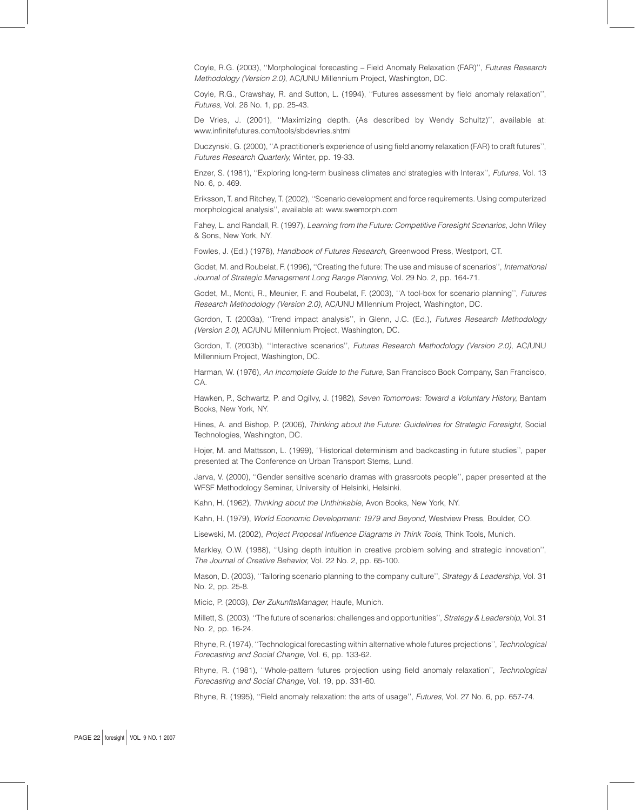Coyle, R.G. (2003), ''Morphological forecasting – Field Anomaly Relaxation (FAR)'', Futures Research Methodology (Version 2.0), AC/UNU Millennium Project, Washington, DC.

Coyle, R.G., Crawshay, R. and Sutton, L. (1994), ''Futures assessment by field anomaly relaxation'', Futures, Vol. 26 No. 1, pp. 25-43.

De Vries, J. (2001), ''Maximizing depth. (As described by Wendy Schultz)'', available at: www.infinitefutures.com/tools/sbdevries.shtml

Duczynski, G. (2000), ''A practitioner's experience of using field anomy relaxation (FAR) to craft futures'', Futures Research Quarterly, Winter, pp. 19-33.

Enzer, S. (1981), ''Exploring long-term business climates and strategies with Interax'', Futures, Vol. 13 No. 6, p. 469.

Eriksson, T. and Ritchey, T. (2002), ''Scenario development and force requirements. Using computerized morphological analysis'', available at: www.swemorph.com

Fahey, L. and Randall, R. (1997), Learning from the Future: Competitive Foresight Scenarios, John Wiley & Sons, New York, NY.

Fowles, J. (Ed.) (1978), Handbook of Futures Research, Greenwood Press, Westport, CT.

Godet, M. and Roubelat, F. (1996), ''Creating the future: The use and misuse of scenarios'', International Journal of Strategic Management Long Range Planning, Vol. 29 No. 2, pp. 164-71.

Godet, M., Monti, R., Meunier, F. and Roubelat, F. (2003), ''A tool-box for scenario planning'', Futures Research Methodology (Version 2.0), AC/UNU Millennium Project, Washington, DC.

Gordon, T. (2003a), ''Trend impact analysis'', in Glenn, J.C. (Ed.), Futures Research Methodology (Version 2.0), AC/UNU Millennium Project, Washington, DC.

Gordon, T. (2003b), ''Interactive scenarios'', Futures Research Methodology (Version 2.0), AC/UNU Millennium Project, Washington, DC.

Harman, W. (1976), An Incomplete Guide to the Future, San Francisco Book Company, San Francisco, CA.

Hawken, P., Schwartz, P. and Ogilvy, J. (1982), Seven Tomorrows: Toward a Voluntary History, Bantam Books, New York, NY.

Hines, A. and Bishop, P. (2006), Thinking about the Future: Guidelines for Strategic Foresight, Social Technologies, Washington, DC.

Hojer, M. and Mattsson, L. (1999), ''Historical determinism and backcasting in future studies'', paper presented at The Conference on Urban Transport Stems, Lund.

Jarva, V. (2000), ''Gender sensitive scenario dramas with grassroots people'', paper presented at the WFSF Methodology Seminar, University of Helsinki, Helsinki.

Kahn, H. (1962), Thinking about the Unthinkable, Avon Books, New York, NY.

Kahn, H. (1979), World Economic Development: 1979 and Beyond, Westview Press, Boulder, CO.

Lisewski, M. (2002), Project Proposal Influence Diagrams in Think Tools, Think Tools, Munich.

Markley, O.W. (1988), ''Using depth intuition in creative problem solving and strategic innovation'', The Journal of Creative Behavior, Vol. 22 No. 2, pp. 65-100.

Mason, D. (2003), "Tailoring scenario planning to the company culture", Strategy & Leadership, Vol. 31 No. 2, pp. 25-8.

Micic, P. (2003), Der ZukunftsManager, Haufe, Munich.

Millett, S. (2003), ''The future of scenarios: challenges and opportunities'', Strategy & Leadership, Vol. 31 No. 2, pp. 16-24.

Rhyne, R. (1974), ''Technological forecasting within alternative whole futures projections'', Technological Forecasting and Social Change, Vol. 6, pp. 133-62.

Rhyne, R. (1981), ''Whole-pattern futures projection using field anomaly relaxation'', Technological Forecasting and Social Change, Vol. 19, pp. 331-60.

Rhyne, R. (1995), ''Field anomaly relaxation: the arts of usage'', Futures, Vol. 27 No. 6, pp. 657-74.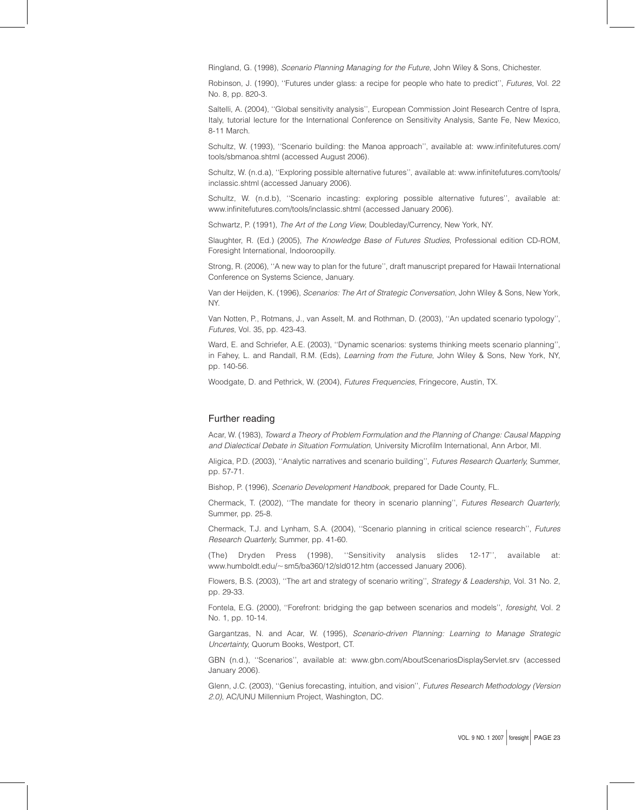Ringland, G. (1998), Scenario Planning Managing for the Future, John Wiley & Sons, Chichester.

Robinson, J. (1990), "Futures under glass: a recipe for people who hate to predict", Futures, Vol. 22 No. 8, pp. 820-3.

Saltelli, A. (2004), ''Global sensitivity analysis'', European Commission Joint Research Centre of Ispra, Italy, tutorial lecture for the International Conference on Sensitivity Analysis, Sante Fe, New Mexico, 8-11 March.

Schultz, W. (1993), ''Scenario building: the Manoa approach'', available at: www.infinitefutures.com/ tools/sbmanoa.shtml (accessed August 2006).

Schultz, W. (n.d.a), ''Exploring possible alternative futures'', available at: www.infinitefutures.com/tools/ inclassic.shtml (accessed January 2006).

Schultz, W. (n.d.b), ''Scenario incasting: exploring possible alternative futures'', available at: www.infinitefutures.com/tools/inclassic.shtml (accessed January 2006).

Schwartz, P. (1991), The Art of the Long View, Doubleday/Currency, New York, NY.

Slaughter, R. (Ed.) (2005), The Knowledge Base of Futures Studies, Professional edition CD-ROM, Foresight International, Indooroopilly.

Strong, R. (2006), ''A new way to plan for the future'', draft manuscript prepared for Hawaii International Conference on Systems Science, January.

Van der Heijden, K. (1996), Scenarios: The Art of Strategic Conversation, John Wiley & Sons, New York, NY.

Van Notten, P., Rotmans, J., van Asselt, M. and Rothman, D. (2003), ''An updated scenario typology'', Futures, Vol. 35, pp. 423-43.

Ward, E. and Schriefer, A.E. (2003), ''Dynamic scenarios: systems thinking meets scenario planning'', in Fahey, L. and Randall, R.M. (Eds), *Learning from the Future*, John Wiley & Sons, New York, NY, pp. 140-56.

Woodgate, D. and Pethrick, W. (2004), Futures Frequencies, Fringecore, Austin, TX.

### Further reading

Acar, W. (1983), Toward a Theory of Problem Formulation and the Planning of Change: Causal Mapping and Dialectical Debate in Situation Formulation, University Microfilm International, Ann Arbor, MI.

Aligica, P.D. (2003), ''Analytic narratives and scenario building'', Futures Research Quarterly, Summer, pp. 57-71.

Bishop, P. (1996), Scenario Development Handbook, prepared for Dade County, FL.

Chermack, T. (2002), ''The mandate for theory in scenario planning'', Futures Research Quarterly, Summer, pp. 25-8.

Chermack, T.J. and Lynham, S.A. (2004), ''Scenario planning in critical science research'', Futures Research Quarterly, Summer, pp. 41-60.

(The) Dryden Press (1998), ''Sensitivity analysis slides 12-17'', available at: www.humboldt.edu/~sm5/ba360/12/sld012.htm (accessed January 2006).

Flowers, B.S. (2003), ''The art and strategy of scenario writing'', Strategy & Leadership, Vol. 31 No. 2, pp. 29-33.

Fontela, E.G. (2000), ''Forefront: bridging the gap between scenarios and models'', foresight, Vol. 2 No. 1, pp. 10-14.

Gargantzas, N. and Acar, W. (1995), Scenario-driven Planning: Learning to Manage Strategic Uncertainty, Quorum Books, Westport, CT.

GBN (n.d.), ''Scenarios'', available at: www.gbn.com/AboutScenariosDisplayServlet.srv (accessed January 2006).

Glenn, J.C. (2003), ''Genius forecasting, intuition, and vision'', Futures Research Methodology (Version 2.0), AC/UNU Millennium Project, Washington, DC.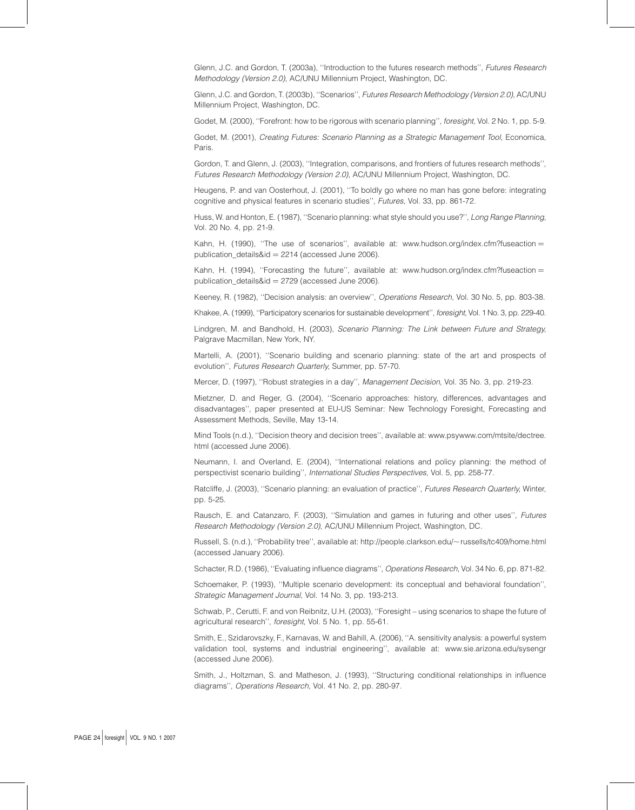Glenn, J.C. and Gordon, T. (2003a), ''Introduction to the futures research methods'', Futures Research Methodology (Version 2.0), AC/UNU Millennium Project, Washington, DC.

Glenn, J.C. and Gordon, T. (2003b), "Scenarios", Futures Research Methodology (Version 2.0), AC/UNU Millennium Project, Washington, DC.

Godet, M. (2000), ''Forefront: how to be rigorous with scenario planning'', foresight, Vol. 2 No. 1, pp. 5-9.

Godet, M. (2001), Creating Futures: Scenario Planning as a Strategic Management Tool, Economica, Paris.

Gordon, T. and Glenn, J. (2003), ''Integration, comparisons, and frontiers of futures research methods'', Futures Research Methodology (Version 2.0), AC/UNU Millennium Project, Washington, DC.

Heugens, P. and van Oosterhout, J. (2001), ''To boldly go where no man has gone before: integrating cognitive and physical features in scenario studies'', Futures, Vol. 33, pp. 861-72.

Huss, W. and Honton, E. (1987), "Scenario planning: what style should you use?", Long Range Planning, Vol. 20 No. 4, pp. 21-9.

Kahn, H. (1990), "The use of scenarios", available at: www.hudson.org/index.cfm?fuseaction = publication  $deltaid = 2214$  (accessed June 2006).

Kahn, H. (1994), "Forecasting the future", available at: www.hudson.org/index.cfm?fuseaction = publication\_details&id =  $2729$  (accessed June 2006).

Keeney, R. (1982), ''Decision analysis: an overview'', Operations Research, Vol. 30 No. 5, pp. 803-38.

Khakee, A. (1999), "Participatory scenarios for sustainable development", *foresight*, Vol. 1 No. 3, pp. 229-40.

Lindgren, M. and Bandhold, H. (2003), Scenario Planning: The Link between Future and Strategy, Palgrave Macmillan, New York, NY.

Martelli, A. (2001), ''Scenario building and scenario planning: state of the art and prospects of evolution'', Futures Research Quarterly, Summer, pp. 57-70.

Mercer, D. (1997), ''Robust strategies in a day'', Management Decision, Vol. 35 No. 3, pp. 219-23.

Mietzner, D. and Reger, G. (2004), ''Scenario approaches: history, differences, advantages and disadvantages'', paper presented at EU-US Seminar: New Technology Foresight, Forecasting and Assessment Methods, Seville, May 13-14.

Mind Tools (n.d.), ''Decision theory and decision trees'', available at: www.psywww.com/mtsite/dectree. html (accessed June 2006).

Neumann, I. and Overland, E. (2004), ''International relations and policy planning: the method of perspectivist scenario building'', International Studies Perspectives, Vol. 5, pp. 258-77.

Ratcliffe, J. (2003), "Scenario planning: an evaluation of practice", Futures Research Quarterly, Winter, pp. 5-25.

Rausch, E. and Catanzaro, F. (2003), ''Simulation and games in futuring and other uses'', Futures Research Methodology (Version 2.0), AC/UNU Millennium Project, Washington, DC.

Russell, S. (n.d.), "Probability tree", available at: http://people.clarkson.edu/~russells/tc409/home.html (accessed January 2006).

Schacter, R.D. (1986), ''Evaluating influence diagrams'', Operations Research, Vol. 34 No. 6, pp. 871-82.

Schoemaker, P. (1993), ''Multiple scenario development: its conceptual and behavioral foundation'', Strategic Management Journal, Vol. 14 No. 3, pp. 193-213.

Schwab, P., Cerutti, F. and von Reibnitz, U.H. (2003), ''Foresight – using scenarios to shape the future of agricultural research'', foresight, Vol. 5 No. 1, pp. 55-61.

Smith, E., Szidarovszky, F., Karnavas, W. and Bahill, A. (2006), ''A. sensitivity analysis: a powerful system validation tool, systems and industrial engineering'', available at: www.sie.arizona.edu/sysengr (accessed June 2006).

Smith, J., Holtzman, S. and Matheson, J. (1993), ''Structuring conditional relationships in influence diagrams'', Operations Research, Vol. 41 No. 2, pp. 280-97.